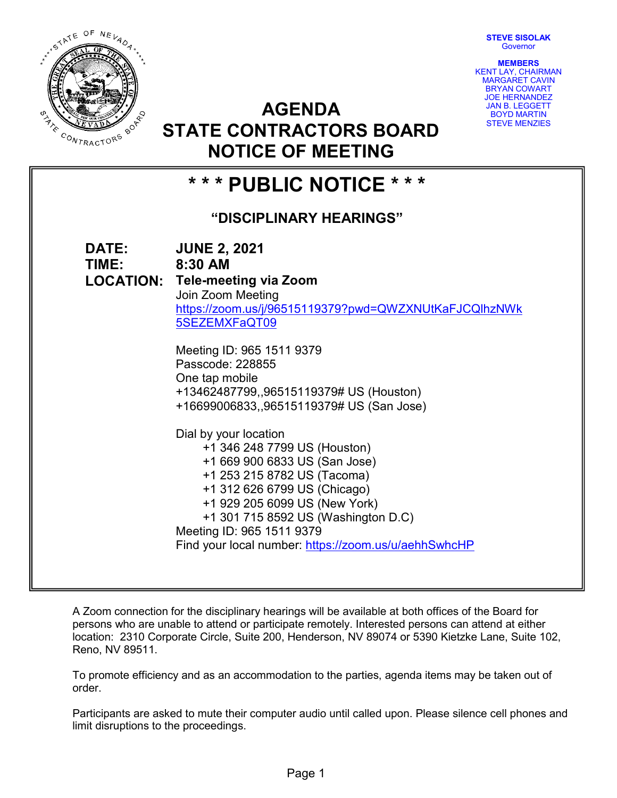**STEVE SISOLAK** Governor



**AGENDA STATE CONTRACTORS BOARD NOTICE OF MEETING**

| <b>MEMBERS</b>        |
|-----------------------|
| KENT LAY, CHAIRMAN    |
| <b>MARGARET CAVIN</b> |
| <b>BRYAN COWART</b>   |
| <b>JOE HERNANDEZ</b>  |
| <b>JAN B. LEGGETT</b> |
| <b>BOYD MARTIN</b>    |
| <b>STEVE MENZIES</b>  |

# **\* \* \* PUBLIC NOTICE \* \* \* "DISCIPLINARY HEARINGS" DATE: JUNE 2, 2021 TIME: 8:30 AM LOCATION: Tele-meeting via Zoom** Join Zoom Meeting [https://zoom.us/j/96515119379?pwd=QWZXNUtKaFJCQlhzNWk](https://zoom.us/j/96515119379?pwd=QWZXNUtKaFJCQlhzNWk5SEZEMXFaQT09) [5SEZEMXFaQT09](https://zoom.us/j/96515119379?pwd=QWZXNUtKaFJCQlhzNWk5SEZEMXFaQT09) Meeting ID: 965 1511 9379 Passcode: 228855 One tap mobile +13462487799,,96515119379# US (Houston) +16699006833,,96515119379# US (San Jose) Dial by your location +1 346 248 7799 US (Houston) +1 669 900 6833 US (San Jose) +1 253 215 8782 US (Tacoma) +1 312 626 6799 US (Chicago) +1 929 205 6099 US (New York) +1 301 715 8592 US (Washington D.C) Meeting ID: 965 1511 9379 Find your local number:<https://zoom.us/u/aehhSwhcHP>

A Zoom connection for the disciplinary hearings will be available at both offices of the Board for persons who are unable to attend or participate remotely. Interested persons can attend at either location: 2310 Corporate Circle, Suite 200, Henderson, NV 89074 or 5390 Kietzke Lane, Suite 102, Reno, NV 89511.

To promote efficiency and as an accommodation to the parties, agenda items may be taken out of order.

Participants are asked to mute their computer audio until called upon. Please silence cell phones and limit disruptions to the proceedings.